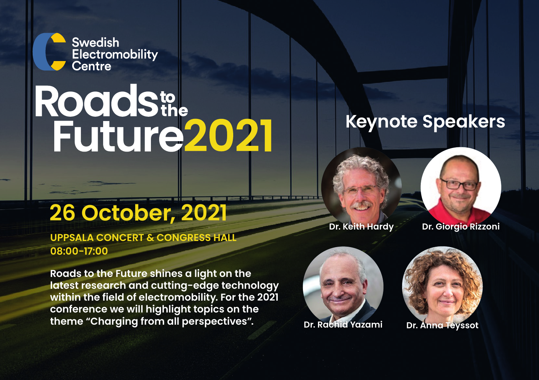

# Roadstale<br>Future2021

## **26 October, 2021 Dr. Keith Hardy Dr. Giorgio Rizzoni**

**UPPSALA CONCERT & CONGRESS HALL 08:00-17:00**

**Roads to the Future shines a light on the latest research and cutting-edge technology within the field of electromobility. For the 2021 conference we will highlight topics on the theme "Charging from all perspectives".**



## **Keynote Speakers**

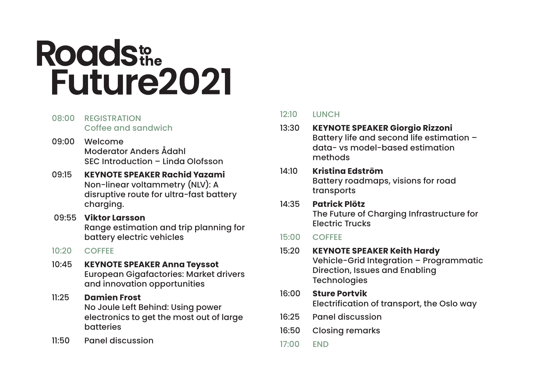## **Roadste Future2021**

- 08:00 REGISTRATION Coffee and sandwich
- 09:00 Welcome Moderator Anders Ådahl SEC Introduction – Linda Olofsson
- 09:15 **KEYNOTE SPEAKER Rachid Yazami** Non-linear voltammetry (NLV): A disruptive route for ultra-fast battery charging.
- 09:55 **Viktor Larsson** Range estimation and trip planning for battery electric vehicles
- 10:20 COFFEE
- 10:45 **KEYNOTE SPEAKER Anna Teyssot** European Gigafactories: Market drivers and innovation opportunities
- 11:25 **Damien Frost** No Joule Left Behind: Using power electronics to get the most out of large batteries
- 11:50 Panel discussion

#### 12:10 **LUNCH**

#### 13:30 **KEYNOTE SPEAKER Giorgio Rizzoni** Battery life and second life estimation – data- vs model-based estimation methods

#### 14:10 **Kristina Edström** Battery roadmaps, visions for road transports

14:35 **Patrick Plötz** The Future of Charging Infrastructure for Electric Trucks

#### 15:00 COFFEE

- 15:20 **KEYNOTE SPEAKER Keith Hardy** Vehicle-Grid Integration – Programmatic Direction, Issues and Enabling **Technologies**
- 16:00 **Sture Portvik** Electrification of transport, the Oslo way
- 16:25 Panel discussion
- 16:50 Closing remarks
- 17:00 END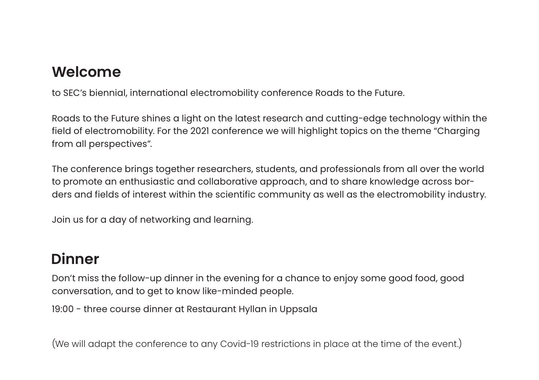### **Welcome**

to SEC's biennial, international electromobility conference Roads to the Future.

Roads to the Future shines a light on the latest research and cutting-edge technology within the field of electromobility. For the 2021 conference we will highlight topics on the theme "Charging from all perspectives".

The conference brings together researchers, students, and professionals from all over the world to promote an enthusiastic and collaborative approach, and to share knowledge across borders and fields of interest within the scientific community as well as the electromobility industry.

Join us for a day of networking and learning.

### **Dinner**

Don't miss the follow-up dinner in the evening for a chance to enjoy some good food, good conversation, and to get to know like-minded people.

19:00 - three course dinner at Restaurant Hyllan in Uppsala

(We will adapt the conference to any Covid-19 restrictions in place at the time of the event.)